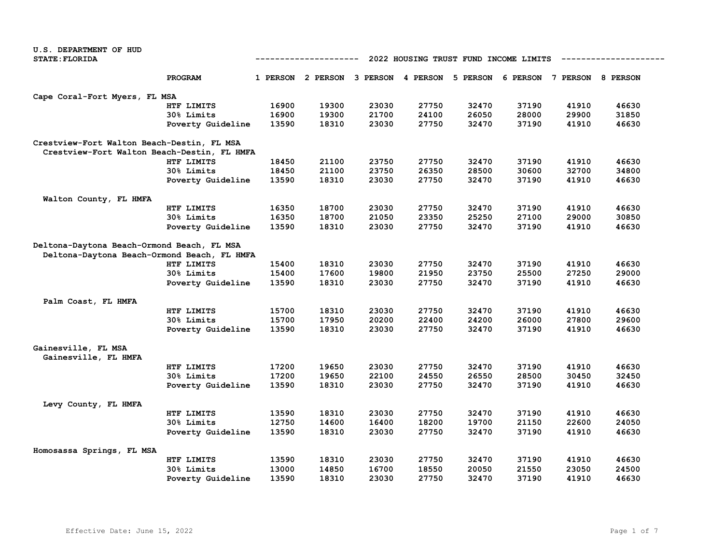| U.S. DEPARTMENT OF HUD                      |                   |                                                     |                                                                         |       |       |       |       |       |       |  |
|---------------------------------------------|-------------------|-----------------------------------------------------|-------------------------------------------------------------------------|-------|-------|-------|-------|-------|-------|--|
| <b>STATE: FLORIDA</b>                       |                   | 2022 HOUSING TRUST FUND INCOME LIMITS<br>---------- |                                                                         |       |       |       |       |       |       |  |
|                                             | PROGRAM           |                                                     | 1 PERSON 2 PERSON 3 PERSON 4 PERSON 5 PERSON 6 PERSON 7 PERSON 8 PERSON |       |       |       |       |       |       |  |
| Cape Coral-Fort Myers, FL MSA               |                   |                                                     |                                                                         |       |       |       |       |       |       |  |
|                                             | HTF LIMITS        | 16900                                               | 19300                                                                   | 23030 | 27750 | 32470 | 37190 | 41910 | 46630 |  |
|                                             | 30% Limits        | 16900                                               | 19300                                                                   | 21700 | 24100 | 26050 | 28000 | 29900 | 31850 |  |
|                                             | Poverty Guideline | 13590                                               | 18310                                                                   | 23030 | 27750 | 32470 | 37190 | 41910 | 46630 |  |
| Crestview-Fort Walton Beach-Destin, FL MSA  |                   |                                                     |                                                                         |       |       |       |       |       |       |  |
| Crestview-Fort Walton Beach-Destin, FL HMFA |                   |                                                     |                                                                         |       |       |       |       |       |       |  |
|                                             | HTF LIMITS        | 18450                                               | 21100                                                                   | 23750 | 27750 | 32470 | 37190 | 41910 | 46630 |  |
|                                             | 30% Limits        | 18450                                               | 21100                                                                   | 23750 | 26350 | 28500 | 30600 | 32700 | 34800 |  |
|                                             | Poverty Guideline | 13590                                               | 18310                                                                   | 23030 | 27750 | 32470 | 37190 | 41910 | 46630 |  |
| Walton County, FL HMFA                      |                   |                                                     |                                                                         |       |       |       |       |       |       |  |
|                                             | HTF LIMITS        | 16350                                               | 18700                                                                   | 23030 | 27750 | 32470 | 37190 | 41910 | 46630 |  |
|                                             | 30% Limits        | 16350                                               | 18700                                                                   | 21050 | 23350 | 25250 | 27100 | 29000 | 30850 |  |
|                                             | Poverty Guideline | 13590                                               | 18310                                                                   | 23030 | 27750 | 32470 | 37190 | 41910 | 46630 |  |
| Deltona-Daytona Beach-Ormond Beach, FL MSA  |                   |                                                     |                                                                         |       |       |       |       |       |       |  |
| Deltona-Daytona Beach-Ormond Beach, FL HMFA |                   |                                                     |                                                                         |       |       |       |       |       |       |  |
|                                             | HTF LIMITS        | 15400                                               | 18310                                                                   | 23030 | 27750 | 32470 | 37190 | 41910 | 46630 |  |
|                                             | 30% Limits        | 15400                                               | 17600                                                                   | 19800 | 21950 | 23750 | 25500 | 27250 | 29000 |  |
|                                             | Poverty Guideline | 13590                                               | 18310                                                                   | 23030 | 27750 | 32470 | 37190 | 41910 | 46630 |  |
| Palm Coast, FL HMFA                         |                   |                                                     |                                                                         |       |       |       |       |       |       |  |
|                                             | HTF LIMITS        | 15700                                               | 18310                                                                   | 23030 | 27750 | 32470 | 37190 | 41910 | 46630 |  |
|                                             | 30% Limits        | 15700                                               | 17950                                                                   | 20200 | 22400 | 24200 | 26000 | 27800 | 29600 |  |
|                                             | Poverty Guideline | 13590                                               | 18310                                                                   | 23030 | 27750 | 32470 | 37190 | 41910 | 46630 |  |
| Gainesville, FL MSA<br>Gainesville, FL HMFA |                   |                                                     |                                                                         |       |       |       |       |       |       |  |
|                                             | HTF LIMITS        | 17200                                               | 19650                                                                   | 23030 | 27750 | 32470 | 37190 | 41910 | 46630 |  |
|                                             | <b>30% Limits</b> | 17200                                               | 19650                                                                   | 22100 | 24550 | 26550 | 28500 | 30450 | 32450 |  |
|                                             | Poverty Guideline | 13590                                               | 18310                                                                   | 23030 | 27750 | 32470 | 37190 | 41910 | 46630 |  |
| Levy County, FL HMFA                        |                   |                                                     |                                                                         |       |       |       |       |       |       |  |
|                                             | HTF LIMITS        | 13590                                               | 18310                                                                   | 23030 | 27750 | 32470 | 37190 | 41910 | 46630 |  |
|                                             | 30% Limits        | 12750                                               | 14600                                                                   | 16400 | 18200 | 19700 | 21150 | 22600 | 24050 |  |
|                                             | Poverty Guideline | 13590                                               | 18310                                                                   | 23030 | 27750 | 32470 | 37190 | 41910 | 46630 |  |
| Homosassa Springs, FL MSA                   |                   |                                                     |                                                                         |       |       |       |       |       |       |  |
|                                             | HTF LIMITS        | 13590                                               | 18310                                                                   | 23030 | 27750 | 32470 | 37190 | 41910 | 46630 |  |
|                                             | 30% Limits        | 13000                                               | 14850                                                                   | 16700 | 18550 | 20050 | 21550 | 23050 | 24500 |  |
|                                             | Poverty Guideline | 13590                                               | 18310                                                                   | 23030 | 27750 | 32470 | 37190 | 41910 | 46630 |  |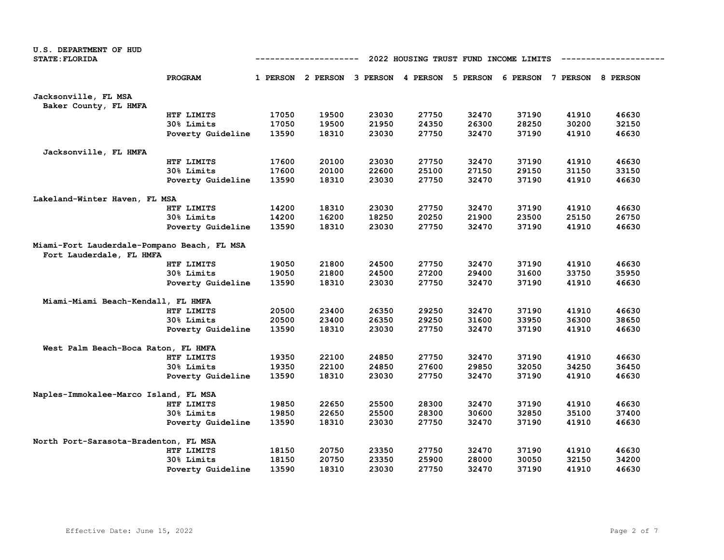| <b>STATE: FLORIDA</b><br>2022 HOUSING TRUST FUND INCOME LIMITS<br>-----------<br>PROGRAM<br>5 PERSON<br>6 PERSON 7 PERSON 8 PERSON<br>1 PERSON 2 PERSON 3 PERSON 4 PERSON<br>Jacksonville, FL MSA<br>Baker County, FL HMFA<br>17050<br>19500<br>23030<br>27750<br>32470<br>37190<br>41910<br>46630<br>HTF LIMITS<br>28250<br>17050<br>19500<br>21950<br>24350<br>26300<br>30200<br>32150<br>30% Limits<br>13590<br>18310<br>23030<br>27750<br>32470<br>37190<br>41910<br>46630<br>Poverty Guideline<br>Jacksonville, FL HMFA<br>17600<br>27750<br>32470<br>37190<br>41910<br>46630<br>HTF LIMITS<br>20100<br>23030<br>29150<br>33150<br>30% Limits<br>17600<br>20100<br>22600<br>25100<br>27150<br>31150<br>27750<br>13590<br>18310<br>23030<br>32470<br>37190<br>41910<br>46630<br>Poverty Guideline<br>Lakeland-Winter Haven, FL MSA<br>27750<br>32470<br>37190<br>41910<br>46630<br>HTF LIMITS<br>14200<br>18310<br>23030<br>14200<br>16200<br>18250<br>20250<br>21900<br>23500<br>25150<br>26750<br>30% Limits<br>13590<br>18310<br>23030<br>27750<br>32470<br>37190<br>41910<br>46630<br>Poverty Guideline<br>Miami-Fort Lauderdale-Pompano Beach, FL MSA<br>Fort Lauderdale, FL HMFA<br>27750<br>32470<br>37190<br>19050<br>21800<br>24500<br>41910<br>46630<br>HTF LIMITS<br>19050<br>21800<br>24500<br>27200<br>29400<br>31600<br>33750<br>35950<br>30% Limits<br>13590<br>18310<br>23030<br>27750<br>32470<br>37190<br>41910<br>46630<br>Poverty Guideline<br>Miami-Miami Beach-Kendall, FL HMFA<br>32470<br>37190<br>41910<br>46630<br>HTF LIMITS<br>20500<br>23400<br>26350<br>29250<br>23400<br>31600<br>33950<br>36300<br>38650<br>30% Limits<br>20500<br>26350<br>29250<br>18310<br>37190<br>41910<br>13590<br>23030<br>27750<br>32470<br>46630<br>Poverty Guideline<br>West Palm Beach-Boca Raton, FL HMFA<br>27750<br>32470<br>37190<br>41910<br>46630<br>HTF LIMITS<br>19350<br>22100<br>24850<br>19350<br>22100<br>24850<br>27600<br>29850<br>32050<br>34250<br>36450<br>30% Limits<br>18310<br>37190<br>Poverty Guideline<br>13590<br>23030<br>27750<br>32470<br>41910<br>46630<br>Naples-Immokalee-Marco Island, FL MSA<br>HTF LIMITS<br>19850<br>22650<br>25500<br>28300<br>32470<br>37190<br>41910<br>46630<br>32850<br>19850<br>22650<br>25500<br>28300<br>30600<br>35100<br>37400<br>30% Limits<br>32470<br>37190<br>13590<br>18310<br>23030<br>27750<br>41910<br>46630<br>Poverty Guideline<br>North Port-Sarasota-Bradenton, FL MSA<br>HTF LIMITS<br>18150<br>20750<br>23350<br>27750<br>32470<br>37190<br>41910<br>46630<br>20750<br>25900<br>28000<br>30050<br>32150<br>18150<br>23350<br>34200<br>30% Limits | U.S. DEPARTMENT OF HUD |  |  |  |  |  |  |  |  |  |  |  |  |
|-------------------------------------------------------------------------------------------------------------------------------------------------------------------------------------------------------------------------------------------------------------------------------------------------------------------------------------------------------------------------------------------------------------------------------------------------------------------------------------------------------------------------------------------------------------------------------------------------------------------------------------------------------------------------------------------------------------------------------------------------------------------------------------------------------------------------------------------------------------------------------------------------------------------------------------------------------------------------------------------------------------------------------------------------------------------------------------------------------------------------------------------------------------------------------------------------------------------------------------------------------------------------------------------------------------------------------------------------------------------------------------------------------------------------------------------------------------------------------------------------------------------------------------------------------------------------------------------------------------------------------------------------------------------------------------------------------------------------------------------------------------------------------------------------------------------------------------------------------------------------------------------------------------------------------------------------------------------------------------------------------------------------------------------------------------------------------------------------------------------------------------------------------------------------------------------------------------------------------------------------------------------------------------------------------------------------------------------------------------------------------------------------------------------------------------------------------------------------------------------------------------------------------------------------------------------------------------------------------------------------------------------|------------------------|--|--|--|--|--|--|--|--|--|--|--|--|
|                                                                                                                                                                                                                                                                                                                                                                                                                                                                                                                                                                                                                                                                                                                                                                                                                                                                                                                                                                                                                                                                                                                                                                                                                                                                                                                                                                                                                                                                                                                                                                                                                                                                                                                                                                                                                                                                                                                                                                                                                                                                                                                                                                                                                                                                                                                                                                                                                                                                                                                                                                                                                                           |                        |  |  |  |  |  |  |  |  |  |  |  |  |
|                                                                                                                                                                                                                                                                                                                                                                                                                                                                                                                                                                                                                                                                                                                                                                                                                                                                                                                                                                                                                                                                                                                                                                                                                                                                                                                                                                                                                                                                                                                                                                                                                                                                                                                                                                                                                                                                                                                                                                                                                                                                                                                                                                                                                                                                                                                                                                                                                                                                                                                                                                                                                                           |                        |  |  |  |  |  |  |  |  |  |  |  |  |
|                                                                                                                                                                                                                                                                                                                                                                                                                                                                                                                                                                                                                                                                                                                                                                                                                                                                                                                                                                                                                                                                                                                                                                                                                                                                                                                                                                                                                                                                                                                                                                                                                                                                                                                                                                                                                                                                                                                                                                                                                                                                                                                                                                                                                                                                                                                                                                                                                                                                                                                                                                                                                                           |                        |  |  |  |  |  |  |  |  |  |  |  |  |
|                                                                                                                                                                                                                                                                                                                                                                                                                                                                                                                                                                                                                                                                                                                                                                                                                                                                                                                                                                                                                                                                                                                                                                                                                                                                                                                                                                                                                                                                                                                                                                                                                                                                                                                                                                                                                                                                                                                                                                                                                                                                                                                                                                                                                                                                                                                                                                                                                                                                                                                                                                                                                                           |                        |  |  |  |  |  |  |  |  |  |  |  |  |
|                                                                                                                                                                                                                                                                                                                                                                                                                                                                                                                                                                                                                                                                                                                                                                                                                                                                                                                                                                                                                                                                                                                                                                                                                                                                                                                                                                                                                                                                                                                                                                                                                                                                                                                                                                                                                                                                                                                                                                                                                                                                                                                                                                                                                                                                                                                                                                                                                                                                                                                                                                                                                                           |                        |  |  |  |  |  |  |  |  |  |  |  |  |
|                                                                                                                                                                                                                                                                                                                                                                                                                                                                                                                                                                                                                                                                                                                                                                                                                                                                                                                                                                                                                                                                                                                                                                                                                                                                                                                                                                                                                                                                                                                                                                                                                                                                                                                                                                                                                                                                                                                                                                                                                                                                                                                                                                                                                                                                                                                                                                                                                                                                                                                                                                                                                                           |                        |  |  |  |  |  |  |  |  |  |  |  |  |
|                                                                                                                                                                                                                                                                                                                                                                                                                                                                                                                                                                                                                                                                                                                                                                                                                                                                                                                                                                                                                                                                                                                                                                                                                                                                                                                                                                                                                                                                                                                                                                                                                                                                                                                                                                                                                                                                                                                                                                                                                                                                                                                                                                                                                                                                                                                                                                                                                                                                                                                                                                                                                                           |                        |  |  |  |  |  |  |  |  |  |  |  |  |
|                                                                                                                                                                                                                                                                                                                                                                                                                                                                                                                                                                                                                                                                                                                                                                                                                                                                                                                                                                                                                                                                                                                                                                                                                                                                                                                                                                                                                                                                                                                                                                                                                                                                                                                                                                                                                                                                                                                                                                                                                                                                                                                                                                                                                                                                                                                                                                                                                                                                                                                                                                                                                                           |                        |  |  |  |  |  |  |  |  |  |  |  |  |
|                                                                                                                                                                                                                                                                                                                                                                                                                                                                                                                                                                                                                                                                                                                                                                                                                                                                                                                                                                                                                                                                                                                                                                                                                                                                                                                                                                                                                                                                                                                                                                                                                                                                                                                                                                                                                                                                                                                                                                                                                                                                                                                                                                                                                                                                                                                                                                                                                                                                                                                                                                                                                                           |                        |  |  |  |  |  |  |  |  |  |  |  |  |
|                                                                                                                                                                                                                                                                                                                                                                                                                                                                                                                                                                                                                                                                                                                                                                                                                                                                                                                                                                                                                                                                                                                                                                                                                                                                                                                                                                                                                                                                                                                                                                                                                                                                                                                                                                                                                                                                                                                                                                                                                                                                                                                                                                                                                                                                                                                                                                                                                                                                                                                                                                                                                                           |                        |  |  |  |  |  |  |  |  |  |  |  |  |
|                                                                                                                                                                                                                                                                                                                                                                                                                                                                                                                                                                                                                                                                                                                                                                                                                                                                                                                                                                                                                                                                                                                                                                                                                                                                                                                                                                                                                                                                                                                                                                                                                                                                                                                                                                                                                                                                                                                                                                                                                                                                                                                                                                                                                                                                                                                                                                                                                                                                                                                                                                                                                                           |                        |  |  |  |  |  |  |  |  |  |  |  |  |
|                                                                                                                                                                                                                                                                                                                                                                                                                                                                                                                                                                                                                                                                                                                                                                                                                                                                                                                                                                                                                                                                                                                                                                                                                                                                                                                                                                                                                                                                                                                                                                                                                                                                                                                                                                                                                                                                                                                                                                                                                                                                                                                                                                                                                                                                                                                                                                                                                                                                                                                                                                                                                                           |                        |  |  |  |  |  |  |  |  |  |  |  |  |
|                                                                                                                                                                                                                                                                                                                                                                                                                                                                                                                                                                                                                                                                                                                                                                                                                                                                                                                                                                                                                                                                                                                                                                                                                                                                                                                                                                                                                                                                                                                                                                                                                                                                                                                                                                                                                                                                                                                                                                                                                                                                                                                                                                                                                                                                                                                                                                                                                                                                                                                                                                                                                                           |                        |  |  |  |  |  |  |  |  |  |  |  |  |
|                                                                                                                                                                                                                                                                                                                                                                                                                                                                                                                                                                                                                                                                                                                                                                                                                                                                                                                                                                                                                                                                                                                                                                                                                                                                                                                                                                                                                                                                                                                                                                                                                                                                                                                                                                                                                                                                                                                                                                                                                                                                                                                                                                                                                                                                                                                                                                                                                                                                                                                                                                                                                                           |                        |  |  |  |  |  |  |  |  |  |  |  |  |
|                                                                                                                                                                                                                                                                                                                                                                                                                                                                                                                                                                                                                                                                                                                                                                                                                                                                                                                                                                                                                                                                                                                                                                                                                                                                                                                                                                                                                                                                                                                                                                                                                                                                                                                                                                                                                                                                                                                                                                                                                                                                                                                                                                                                                                                                                                                                                                                                                                                                                                                                                                                                                                           |                        |  |  |  |  |  |  |  |  |  |  |  |  |
|                                                                                                                                                                                                                                                                                                                                                                                                                                                                                                                                                                                                                                                                                                                                                                                                                                                                                                                                                                                                                                                                                                                                                                                                                                                                                                                                                                                                                                                                                                                                                                                                                                                                                                                                                                                                                                                                                                                                                                                                                                                                                                                                                                                                                                                                                                                                                                                                                                                                                                                                                                                                                                           |                        |  |  |  |  |  |  |  |  |  |  |  |  |
|                                                                                                                                                                                                                                                                                                                                                                                                                                                                                                                                                                                                                                                                                                                                                                                                                                                                                                                                                                                                                                                                                                                                                                                                                                                                                                                                                                                                                                                                                                                                                                                                                                                                                                                                                                                                                                                                                                                                                                                                                                                                                                                                                                                                                                                                                                                                                                                                                                                                                                                                                                                                                                           |                        |  |  |  |  |  |  |  |  |  |  |  |  |
|                                                                                                                                                                                                                                                                                                                                                                                                                                                                                                                                                                                                                                                                                                                                                                                                                                                                                                                                                                                                                                                                                                                                                                                                                                                                                                                                                                                                                                                                                                                                                                                                                                                                                                                                                                                                                                                                                                                                                                                                                                                                                                                                                                                                                                                                                                                                                                                                                                                                                                                                                                                                                                           |                        |  |  |  |  |  |  |  |  |  |  |  |  |
|                                                                                                                                                                                                                                                                                                                                                                                                                                                                                                                                                                                                                                                                                                                                                                                                                                                                                                                                                                                                                                                                                                                                                                                                                                                                                                                                                                                                                                                                                                                                                                                                                                                                                                                                                                                                                                                                                                                                                                                                                                                                                                                                                                                                                                                                                                                                                                                                                                                                                                                                                                                                                                           |                        |  |  |  |  |  |  |  |  |  |  |  |  |
|                                                                                                                                                                                                                                                                                                                                                                                                                                                                                                                                                                                                                                                                                                                                                                                                                                                                                                                                                                                                                                                                                                                                                                                                                                                                                                                                                                                                                                                                                                                                                                                                                                                                                                                                                                                                                                                                                                                                                                                                                                                                                                                                                                                                                                                                                                                                                                                                                                                                                                                                                                                                                                           |                        |  |  |  |  |  |  |  |  |  |  |  |  |
|                                                                                                                                                                                                                                                                                                                                                                                                                                                                                                                                                                                                                                                                                                                                                                                                                                                                                                                                                                                                                                                                                                                                                                                                                                                                                                                                                                                                                                                                                                                                                                                                                                                                                                                                                                                                                                                                                                                                                                                                                                                                                                                                                                                                                                                                                                                                                                                                                                                                                                                                                                                                                                           |                        |  |  |  |  |  |  |  |  |  |  |  |  |
|                                                                                                                                                                                                                                                                                                                                                                                                                                                                                                                                                                                                                                                                                                                                                                                                                                                                                                                                                                                                                                                                                                                                                                                                                                                                                                                                                                                                                                                                                                                                                                                                                                                                                                                                                                                                                                                                                                                                                                                                                                                                                                                                                                                                                                                                                                                                                                                                                                                                                                                                                                                                                                           |                        |  |  |  |  |  |  |  |  |  |  |  |  |
|                                                                                                                                                                                                                                                                                                                                                                                                                                                                                                                                                                                                                                                                                                                                                                                                                                                                                                                                                                                                                                                                                                                                                                                                                                                                                                                                                                                                                                                                                                                                                                                                                                                                                                                                                                                                                                                                                                                                                                                                                                                                                                                                                                                                                                                                                                                                                                                                                                                                                                                                                                                                                                           |                        |  |  |  |  |  |  |  |  |  |  |  |  |
|                                                                                                                                                                                                                                                                                                                                                                                                                                                                                                                                                                                                                                                                                                                                                                                                                                                                                                                                                                                                                                                                                                                                                                                                                                                                                                                                                                                                                                                                                                                                                                                                                                                                                                                                                                                                                                                                                                                                                                                                                                                                                                                                                                                                                                                                                                                                                                                                                                                                                                                                                                                                                                           |                        |  |  |  |  |  |  |  |  |  |  |  |  |
|                                                                                                                                                                                                                                                                                                                                                                                                                                                                                                                                                                                                                                                                                                                                                                                                                                                                                                                                                                                                                                                                                                                                                                                                                                                                                                                                                                                                                                                                                                                                                                                                                                                                                                                                                                                                                                                                                                                                                                                                                                                                                                                                                                                                                                                                                                                                                                                                                                                                                                                                                                                                                                           |                        |  |  |  |  |  |  |  |  |  |  |  |  |
|                                                                                                                                                                                                                                                                                                                                                                                                                                                                                                                                                                                                                                                                                                                                                                                                                                                                                                                                                                                                                                                                                                                                                                                                                                                                                                                                                                                                                                                                                                                                                                                                                                                                                                                                                                                                                                                                                                                                                                                                                                                                                                                                                                                                                                                                                                                                                                                                                                                                                                                                                                                                                                           |                        |  |  |  |  |  |  |  |  |  |  |  |  |
|                                                                                                                                                                                                                                                                                                                                                                                                                                                                                                                                                                                                                                                                                                                                                                                                                                                                                                                                                                                                                                                                                                                                                                                                                                                                                                                                                                                                                                                                                                                                                                                                                                                                                                                                                                                                                                                                                                                                                                                                                                                                                                                                                                                                                                                                                                                                                                                                                                                                                                                                                                                                                                           |                        |  |  |  |  |  |  |  |  |  |  |  |  |
|                                                                                                                                                                                                                                                                                                                                                                                                                                                                                                                                                                                                                                                                                                                                                                                                                                                                                                                                                                                                                                                                                                                                                                                                                                                                                                                                                                                                                                                                                                                                                                                                                                                                                                                                                                                                                                                                                                                                                                                                                                                                                                                                                                                                                                                                                                                                                                                                                                                                                                                                                                                                                                           |                        |  |  |  |  |  |  |  |  |  |  |  |  |
|                                                                                                                                                                                                                                                                                                                                                                                                                                                                                                                                                                                                                                                                                                                                                                                                                                                                                                                                                                                                                                                                                                                                                                                                                                                                                                                                                                                                                                                                                                                                                                                                                                                                                                                                                                                                                                                                                                                                                                                                                                                                                                                                                                                                                                                                                                                                                                                                                                                                                                                                                                                                                                           |                        |  |  |  |  |  |  |  |  |  |  |  |  |
|                                                                                                                                                                                                                                                                                                                                                                                                                                                                                                                                                                                                                                                                                                                                                                                                                                                                                                                                                                                                                                                                                                                                                                                                                                                                                                                                                                                                                                                                                                                                                                                                                                                                                                                                                                                                                                                                                                                                                                                                                                                                                                                                                                                                                                                                                                                                                                                                                                                                                                                                                                                                                                           |                        |  |  |  |  |  |  |  |  |  |  |  |  |
|                                                                                                                                                                                                                                                                                                                                                                                                                                                                                                                                                                                                                                                                                                                                                                                                                                                                                                                                                                                                                                                                                                                                                                                                                                                                                                                                                                                                                                                                                                                                                                                                                                                                                                                                                                                                                                                                                                                                                                                                                                                                                                                                                                                                                                                                                                                                                                                                                                                                                                                                                                                                                                           |                        |  |  |  |  |  |  |  |  |  |  |  |  |
|                                                                                                                                                                                                                                                                                                                                                                                                                                                                                                                                                                                                                                                                                                                                                                                                                                                                                                                                                                                                                                                                                                                                                                                                                                                                                                                                                                                                                                                                                                                                                                                                                                                                                                                                                                                                                                                                                                                                                                                                                                                                                                                                                                                                                                                                                                                                                                                                                                                                                                                                                                                                                                           |                        |  |  |  |  |  |  |  |  |  |  |  |  |
|                                                                                                                                                                                                                                                                                                                                                                                                                                                                                                                                                                                                                                                                                                                                                                                                                                                                                                                                                                                                                                                                                                                                                                                                                                                                                                                                                                                                                                                                                                                                                                                                                                                                                                                                                                                                                                                                                                                                                                                                                                                                                                                                                                                                                                                                                                                                                                                                                                                                                                                                                                                                                                           |                        |  |  |  |  |  |  |  |  |  |  |  |  |
|                                                                                                                                                                                                                                                                                                                                                                                                                                                                                                                                                                                                                                                                                                                                                                                                                                                                                                                                                                                                                                                                                                                                                                                                                                                                                                                                                                                                                                                                                                                                                                                                                                                                                                                                                                                                                                                                                                                                                                                                                                                                                                                                                                                                                                                                                                                                                                                                                                                                                                                                                                                                                                           |                        |  |  |  |  |  |  |  |  |  |  |  |  |
| 18310<br>27750<br>37190<br>46630<br>13590<br>23030<br>32470<br>41910<br>Poverty Guideline                                                                                                                                                                                                                                                                                                                                                                                                                                                                                                                                                                                                                                                                                                                                                                                                                                                                                                                                                                                                                                                                                                                                                                                                                                                                                                                                                                                                                                                                                                                                                                                                                                                                                                                                                                                                                                                                                                                                                                                                                                                                                                                                                                                                                                                                                                                                                                                                                                                                                                                                                 |                        |  |  |  |  |  |  |  |  |  |  |  |  |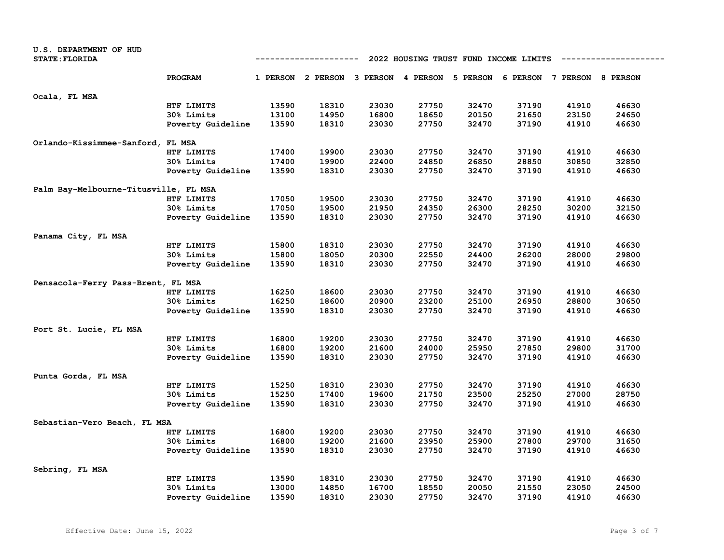| U.S. DEPARTMENT OF HUD                |                   |                                       |                                                                         |       |       |       |       |       |       |
|---------------------------------------|-------------------|---------------------------------------|-------------------------------------------------------------------------|-------|-------|-------|-------|-------|-------|
| <b>STATE: FLORIDA</b>                 |                   | 2022 HOUSING TRUST FUND INCOME LIMITS |                                                                         |       |       |       |       |       |       |
|                                       | <b>PROGRAM</b>    |                                       | 1 PERSON 2 PERSON 3 PERSON 4 PERSON 5 PERSON 6 PERSON 7 PERSON 8 PERSON |       |       |       |       |       |       |
|                                       |                   |                                       |                                                                         |       |       |       |       |       |       |
| Ocala, FL MSA                         |                   |                                       |                                                                         |       |       |       |       |       |       |
|                                       | HTF LIMITS        | 13590                                 | 18310                                                                   | 23030 | 27750 | 32470 | 37190 | 41910 | 46630 |
|                                       | 30% Limits        | 13100                                 | 14950                                                                   | 16800 | 18650 | 20150 | 21650 | 23150 | 24650 |
|                                       | Poverty Guideline | 13590                                 | 18310                                                                   | 23030 | 27750 | 32470 | 37190 | 41910 | 46630 |
| Orlando-Kissimmee-Sanford, FL MSA     |                   |                                       |                                                                         |       |       |       |       |       |       |
|                                       | HTF LIMITS        | 17400                                 | 19900                                                                   | 23030 | 27750 | 32470 | 37190 | 41910 | 46630 |
|                                       | 30% Limits        | 17400                                 | 19900                                                                   | 22400 | 24850 | 26850 | 28850 | 30850 | 32850 |
|                                       | Poverty Guideline | 13590                                 | 18310                                                                   | 23030 | 27750 | 32470 | 37190 | 41910 | 46630 |
|                                       |                   |                                       |                                                                         |       |       |       |       |       |       |
| Palm Bay-Melbourne-Titusville, FL MSA |                   |                                       |                                                                         |       |       |       |       |       |       |
|                                       | HTF LIMITS        | 17050                                 | 19500                                                                   | 23030 | 27750 | 32470 | 37190 | 41910 | 46630 |
|                                       | 30% Limits        | 17050                                 | 19500                                                                   | 21950 | 24350 | 26300 | 28250 | 30200 | 32150 |
|                                       | Poverty Guideline | 13590                                 | 18310                                                                   | 23030 | 27750 | 32470 | 37190 | 41910 | 46630 |
| Panama City, FL MSA                   |                   |                                       |                                                                         |       |       |       |       |       |       |
|                                       | HTF LIMITS        | 15800                                 | 18310                                                                   | 23030 | 27750 | 32470 | 37190 | 41910 | 46630 |
|                                       | 30% Limits        | 15800                                 | 18050                                                                   | 20300 | 22550 | 24400 | 26200 | 28000 | 29800 |
|                                       | Poverty Guideline | 13590                                 | 18310                                                                   | 23030 | 27750 | 32470 | 37190 | 41910 | 46630 |
|                                       |                   |                                       |                                                                         |       |       |       |       |       |       |
| Pensacola-Ferry Pass-Brent, FL MSA    |                   |                                       |                                                                         |       |       |       |       |       |       |
|                                       | HTF LIMITS        | 16250                                 | 18600                                                                   | 23030 | 27750 | 32470 | 37190 | 41910 | 46630 |
|                                       | 30% Limits        | 16250                                 | 18600                                                                   | 20900 | 23200 | 25100 | 26950 | 28800 | 30650 |
|                                       | Poverty Guideline | 13590                                 | 18310                                                                   | 23030 | 27750 | 32470 | 37190 | 41910 | 46630 |
| Port St. Lucie, FL MSA                |                   |                                       |                                                                         |       |       |       |       |       |       |
|                                       | HTF LIMITS        | 16800                                 | 19200                                                                   | 23030 | 27750 | 32470 | 37190 | 41910 | 46630 |
|                                       | <b>30% Limits</b> | 16800                                 | 19200                                                                   | 21600 | 24000 | 25950 | 27850 | 29800 | 31700 |
|                                       | Poverty Guideline | 13590                                 | 18310                                                                   | 23030 | 27750 | 32470 | 37190 | 41910 | 46630 |
|                                       |                   |                                       |                                                                         |       |       |       |       |       |       |
| Punta Gorda, FL MSA                   |                   |                                       |                                                                         |       |       |       |       |       |       |
|                                       | HTF LIMITS        | 15250                                 | 18310                                                                   | 23030 | 27750 | 32470 | 37190 | 41910 | 46630 |
|                                       | 30% Limits        | 15250                                 | 17400                                                                   | 19600 | 21750 | 23500 | 25250 | 27000 | 28750 |
|                                       | Poverty Guideline | 13590                                 | 18310                                                                   | 23030 | 27750 | 32470 | 37190 | 41910 | 46630 |
| Sebastian-Vero Beach, FL MSA          |                   |                                       |                                                                         |       |       |       |       |       |       |
|                                       | HTF LIMITS        | 16800                                 | 19200                                                                   | 23030 | 27750 | 32470 | 37190 | 41910 | 46630 |
|                                       | 30% Limits        | 16800                                 | 19200                                                                   | 21600 | 23950 | 25900 | 27800 | 29700 | 31650 |
|                                       | Poverty Guideline | 13590                                 | 18310                                                                   | 23030 | 27750 | 32470 | 37190 | 41910 | 46630 |
|                                       |                   |                                       |                                                                         |       |       |       |       |       |       |
| Sebring, FL MSA                       |                   |                                       |                                                                         |       |       |       |       |       |       |
|                                       | HTF LIMITS        | 13590                                 | 18310                                                                   | 23030 | 27750 | 32470 | 37190 | 41910 | 46630 |
|                                       | 30% Limits        | 13000                                 | 14850                                                                   | 16700 | 18550 | 20050 | 21550 | 23050 | 24500 |
|                                       | Poverty Guideline | 13590                                 | 18310                                                                   | 23030 | 27750 | 32470 | 37190 | 41910 | 46630 |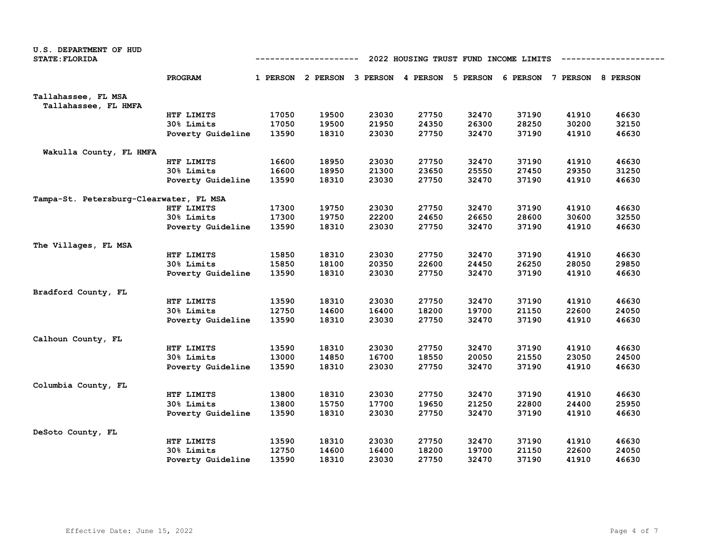| U.S. DEPARTMENT OF HUD<br><b>STATE: FLORIDA</b> |                   | 2022 HOUSING TRUST FUND INCOME LIMITS<br>-------------<br>---------- |       |       |       |       |                                                                         |       |       |
|-------------------------------------------------|-------------------|----------------------------------------------------------------------|-------|-------|-------|-------|-------------------------------------------------------------------------|-------|-------|
|                                                 | PROGRAM           |                                                                      |       |       |       |       | 1 PERSON 2 PERSON 3 PERSON 4 PERSON 5 PERSON 6 PERSON 7 PERSON 8 PERSON |       |       |
| Tallahassee, FL MSA                             |                   |                                                                      |       |       |       |       |                                                                         |       |       |
| Tallahassee, FL HMFA                            |                   |                                                                      |       |       |       |       |                                                                         |       |       |
|                                                 | HTF LIMITS        | 17050                                                                | 19500 | 23030 | 27750 | 32470 | 37190                                                                   | 41910 | 46630 |
|                                                 | 30% Limits        | 17050                                                                | 19500 | 21950 | 24350 | 26300 | 28250                                                                   | 30200 | 32150 |
|                                                 | Poverty Guideline | 13590                                                                | 18310 | 23030 | 27750 | 32470 | 37190                                                                   | 41910 | 46630 |
| Wakulla County, FL HMFA                         |                   |                                                                      |       |       |       |       |                                                                         |       |       |
|                                                 | HTF LIMITS        | 16600                                                                | 18950 | 23030 | 27750 | 32470 | 37190                                                                   | 41910 | 46630 |
|                                                 | 30% Limits        | 16600                                                                | 18950 | 21300 | 23650 | 25550 | 27450                                                                   | 29350 | 31250 |
|                                                 | Poverty Guideline | 13590                                                                | 18310 | 23030 | 27750 | 32470 | 37190                                                                   | 41910 | 46630 |
| Tampa-St. Petersburg-Clearwater, FL MSA         |                   |                                                                      |       |       |       |       |                                                                         |       |       |
|                                                 | HTF LIMITS        | 17300                                                                | 19750 | 23030 | 27750 | 32470 | 37190                                                                   | 41910 | 46630 |
|                                                 | 30% Limits        | 17300                                                                | 19750 | 22200 | 24650 | 26650 | 28600                                                                   | 30600 | 32550 |
|                                                 | Poverty Guideline | 13590                                                                | 18310 | 23030 | 27750 | 32470 | 37190                                                                   | 41910 | 46630 |
| The Villages, FL MSA                            |                   |                                                                      |       |       |       |       |                                                                         |       |       |
|                                                 | HTF LIMITS        | 15850                                                                | 18310 | 23030 | 27750 | 32470 | 37190                                                                   | 41910 | 46630 |
|                                                 | 30% Limits        | 15850                                                                | 18100 | 20350 | 22600 | 24450 | 26250                                                                   | 28050 | 29850 |
|                                                 | Poverty Guideline | 13590                                                                | 18310 | 23030 | 27750 | 32470 | 37190                                                                   | 41910 | 46630 |
| Bradford County, FL                             |                   |                                                                      |       |       |       |       |                                                                         |       |       |
|                                                 | HTF LIMITS        | 13590                                                                | 18310 | 23030 | 27750 | 32470 | 37190                                                                   | 41910 | 46630 |
|                                                 | 30% Limits        | 12750                                                                | 14600 | 16400 | 18200 | 19700 | 21150                                                                   | 22600 | 24050 |
|                                                 | Poverty Guideline | 13590                                                                | 18310 | 23030 | 27750 | 32470 | 37190                                                                   | 41910 | 46630 |
| Calhoun County, FL                              |                   |                                                                      |       |       |       |       |                                                                         |       |       |
|                                                 | HTF LIMITS        | 13590                                                                | 18310 | 23030 | 27750 | 32470 | 37190                                                                   | 41910 | 46630 |
|                                                 | 30% Limits        | 13000                                                                | 14850 | 16700 | 18550 | 20050 | 21550                                                                   | 23050 | 24500 |
|                                                 | Poverty Guideline | 13590                                                                | 18310 | 23030 | 27750 | 32470 | 37190                                                                   | 41910 | 46630 |
| Columbia County, FL                             |                   |                                                                      |       |       |       |       |                                                                         |       |       |
|                                                 | HTF LIMITS        | 13800                                                                | 18310 | 23030 | 27750 | 32470 | 37190                                                                   | 41910 | 46630 |
|                                                 | 30% Limits        | 13800                                                                | 15750 | 17700 | 19650 | 21250 | 22800                                                                   | 24400 | 25950 |
|                                                 | Poverty Guideline | 13590                                                                | 18310 | 23030 | 27750 | 32470 | 37190                                                                   | 41910 | 46630 |
|                                                 |                   |                                                                      |       |       |       |       |                                                                         |       |       |
| DeSoto County, FL                               |                   |                                                                      |       |       |       |       |                                                                         |       |       |
|                                                 | HTF LIMITS        | 13590                                                                | 18310 | 23030 | 27750 | 32470 | 37190                                                                   | 41910 | 46630 |
|                                                 | 30% Limits        | 12750                                                                | 14600 | 16400 | 18200 | 19700 | 21150                                                                   | 22600 | 24050 |
|                                                 | Poverty Guideline | 13590                                                                | 18310 | 23030 | 27750 | 32470 | 37190                                                                   | 41910 | 46630 |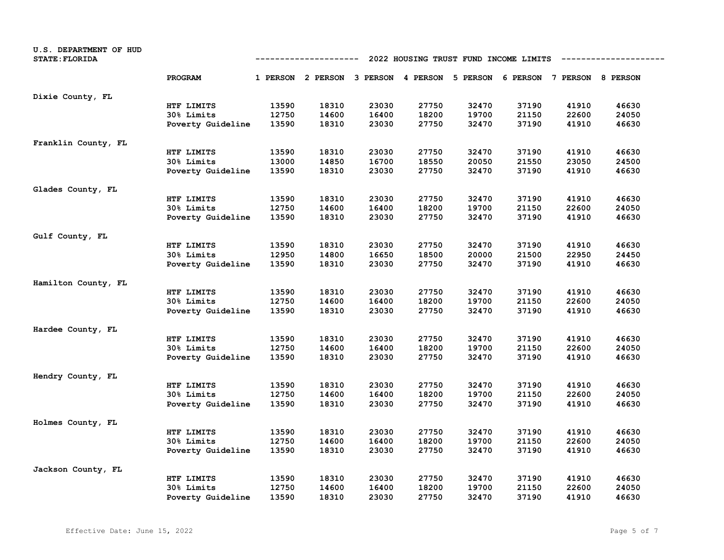| U.S. DEPARTMENT OF HUD<br><b>STATE: FLORIDA</b> |                   | 2022 HOUSING TRUST FUND INCOME LIMITS<br>---------- |                                                                         |       |       |       |       |       |       |
|-------------------------------------------------|-------------------|-----------------------------------------------------|-------------------------------------------------------------------------|-------|-------|-------|-------|-------|-------|
|                                                 | PROGRAM           |                                                     | 1 PERSON 2 PERSON 3 PERSON 4 PERSON 5 PERSON 6 PERSON 7 PERSON 8 PERSON |       |       |       |       |       |       |
| Dixie County, FL                                |                   |                                                     |                                                                         |       |       |       |       |       |       |
|                                                 | HTF LIMITS        | 13590                                               | 18310                                                                   | 23030 | 27750 | 32470 | 37190 | 41910 | 46630 |
|                                                 | 30% Limits        | 12750                                               | 14600                                                                   | 16400 | 18200 | 19700 | 21150 | 22600 | 24050 |
|                                                 | Poverty Guideline | 13590                                               | 18310                                                                   | 23030 | 27750 | 32470 | 37190 | 41910 | 46630 |
| Franklin County, FL                             |                   |                                                     |                                                                         |       |       |       |       |       |       |
|                                                 | HTF LIMITS        | 13590                                               | 18310                                                                   | 23030 | 27750 | 32470 | 37190 | 41910 | 46630 |
|                                                 | 30% Limits        | 13000                                               | 14850                                                                   | 16700 | 18550 | 20050 | 21550 | 23050 | 24500 |
|                                                 | Poverty Guideline | 13590                                               | 18310                                                                   | 23030 | 27750 | 32470 | 37190 | 41910 | 46630 |
| Glades County, FL                               |                   |                                                     |                                                                         |       |       |       |       |       |       |
|                                                 | HTF LIMITS        | 13590                                               | 18310                                                                   | 23030 | 27750 | 32470 | 37190 | 41910 | 46630 |
|                                                 | 30% Limits        | 12750                                               | 14600                                                                   | 16400 | 18200 | 19700 | 21150 | 22600 | 24050 |
|                                                 | Poverty Guideline | 13590                                               | 18310                                                                   | 23030 | 27750 | 32470 | 37190 | 41910 | 46630 |
| Gulf County, FL                                 |                   |                                                     |                                                                         |       |       |       |       |       |       |
|                                                 | HTF LIMITS        | 13590                                               | 18310                                                                   | 23030 | 27750 | 32470 | 37190 | 41910 | 46630 |
|                                                 | 30% Limits        | 12950                                               | 14800                                                                   | 16650 | 18500 | 20000 | 21500 | 22950 | 24450 |
|                                                 | Poverty Guideline | 13590                                               | 18310                                                                   | 23030 | 27750 | 32470 | 37190 | 41910 | 46630 |
| Hamilton County, FL                             |                   |                                                     |                                                                         |       |       |       |       |       |       |
|                                                 | HTF LIMITS        | 13590                                               | 18310                                                                   | 23030 | 27750 | 32470 | 37190 | 41910 | 46630 |
|                                                 | 30% Limits        | 12750                                               | 14600                                                                   | 16400 | 18200 | 19700 | 21150 | 22600 | 24050 |
|                                                 | Poverty Guideline | 13590                                               | 18310                                                                   | 23030 | 27750 | 32470 | 37190 | 41910 | 46630 |
| Hardee County, FL                               |                   |                                                     |                                                                         |       |       |       |       |       |       |
|                                                 | HTF LIMITS        | 13590                                               | 18310                                                                   | 23030 | 27750 | 32470 | 37190 | 41910 | 46630 |
|                                                 | 30% Limits        | 12750                                               | 14600                                                                   | 16400 | 18200 | 19700 | 21150 | 22600 | 24050 |
|                                                 | Poverty Guideline | 13590                                               | 18310                                                                   | 23030 | 27750 | 32470 | 37190 | 41910 | 46630 |
| Hendry County, FL                               |                   |                                                     |                                                                         |       |       |       |       |       |       |
|                                                 | HTF LIMITS        | 13590                                               | 18310                                                                   | 23030 | 27750 | 32470 | 37190 | 41910 | 46630 |
|                                                 | 30% Limits        | 12750                                               | 14600                                                                   | 16400 | 18200 | 19700 | 21150 | 22600 | 24050 |
|                                                 | Poverty Guideline | 13590                                               | 18310                                                                   | 23030 | 27750 | 32470 | 37190 | 41910 | 46630 |
| Holmes County, FL                               |                   |                                                     |                                                                         |       |       |       |       |       |       |
|                                                 | HTF LIMITS        | 13590                                               | 18310                                                                   | 23030 | 27750 | 32470 | 37190 | 41910 | 46630 |
|                                                 | 30% Limits        | 12750                                               | 14600                                                                   | 16400 | 18200 | 19700 | 21150 | 22600 | 24050 |
|                                                 | Poverty Guideline | 13590                                               | 18310                                                                   | 23030 | 27750 | 32470 | 37190 | 41910 | 46630 |
| Jackson County, FL                              |                   |                                                     |                                                                         |       |       |       |       |       |       |
|                                                 | HTF LIMITS        | 13590                                               | 18310                                                                   | 23030 | 27750 | 32470 | 37190 | 41910 | 46630 |
|                                                 | 30% Limits        | 12750                                               | 14600                                                                   | 16400 | 18200 | 19700 | 21150 | 22600 | 24050 |
|                                                 | Poverty Guideline | 13590                                               | 18310                                                                   | 23030 | 27750 | 32470 | 37190 | 41910 | 46630 |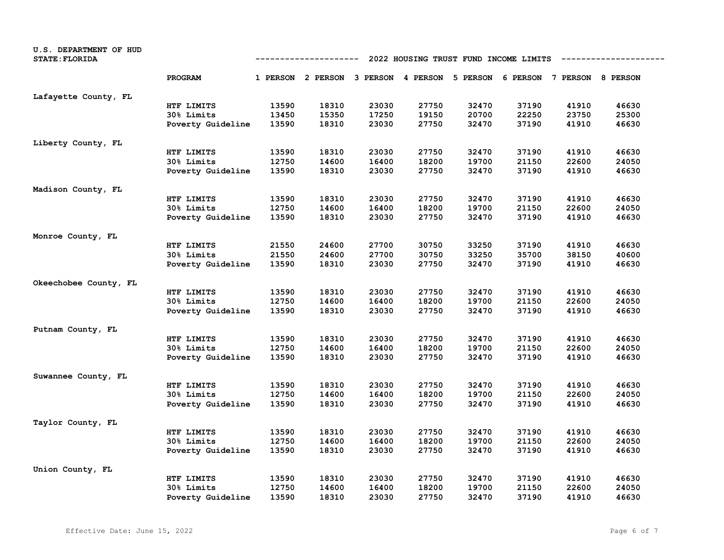| U.S. DEPARTMENT OF HUD<br><b>STATE: FLORIDA</b> |                   | 2022 HOUSING TRUST FUND INCOME LIMITS<br>----------- |                                                                         |       |       |       |       |       |       |
|-------------------------------------------------|-------------------|------------------------------------------------------|-------------------------------------------------------------------------|-------|-------|-------|-------|-------|-------|
|                                                 | PROGRAM           |                                                      | 1 PERSON 2 PERSON 3 PERSON 4 PERSON 5 PERSON 6 PERSON 7 PERSON 8 PERSON |       |       |       |       |       |       |
| Lafayette County, FL                            |                   |                                                      |                                                                         |       |       |       |       |       |       |
|                                                 | HTF LIMITS        | 13590                                                | 18310                                                                   | 23030 | 27750 | 32470 | 37190 | 41910 | 46630 |
|                                                 | 30% Limits        | 13450                                                | 15350                                                                   | 17250 | 19150 | 20700 | 22250 | 23750 | 25300 |
|                                                 | Poverty Guideline | 13590                                                | 18310                                                                   | 23030 | 27750 | 32470 | 37190 | 41910 | 46630 |
| Liberty County, FL                              |                   |                                                      |                                                                         |       |       |       |       |       |       |
|                                                 | HTF LIMITS        | 13590                                                | 18310                                                                   | 23030 | 27750 | 32470 | 37190 | 41910 | 46630 |
|                                                 | 30% Limits        | 12750                                                | 14600                                                                   | 16400 | 18200 | 19700 | 21150 | 22600 | 24050 |
|                                                 | Poverty Guideline | 13590                                                | 18310                                                                   | 23030 | 27750 | 32470 | 37190 | 41910 | 46630 |
| Madison County, FL                              |                   |                                                      |                                                                         |       |       |       |       |       |       |
|                                                 | HTF LIMITS        | 13590                                                | 18310                                                                   | 23030 | 27750 | 32470 | 37190 | 41910 | 46630 |
|                                                 | 30% Limits        | 12750                                                | 14600                                                                   | 16400 | 18200 | 19700 | 21150 | 22600 | 24050 |
|                                                 | Poverty Guideline | 13590                                                | 18310                                                                   | 23030 | 27750 | 32470 | 37190 | 41910 | 46630 |
| Monroe County, FL                               |                   |                                                      |                                                                         |       |       |       |       |       |       |
|                                                 | HTF LIMITS        | 21550                                                | 24600                                                                   | 27700 | 30750 | 33250 | 37190 | 41910 | 46630 |
|                                                 | 30% Limits        | 21550                                                | 24600                                                                   | 27700 | 30750 | 33250 | 35700 | 38150 | 40600 |
|                                                 | Poverty Guideline | 13590                                                | 18310                                                                   | 23030 | 27750 | 32470 | 37190 | 41910 | 46630 |
| Okeechobee County, FL                           |                   |                                                      |                                                                         |       |       |       |       |       |       |
|                                                 | HTF LIMITS        | 13590                                                | 18310                                                                   | 23030 | 27750 | 32470 | 37190 | 41910 | 46630 |
|                                                 | 30% Limits        | 12750                                                | 14600                                                                   | 16400 | 18200 | 19700 | 21150 | 22600 | 24050 |
|                                                 | Poverty Guideline | 13590                                                | 18310                                                                   | 23030 | 27750 | 32470 | 37190 | 41910 | 46630 |
| Putnam County, FL                               |                   |                                                      |                                                                         |       |       |       |       |       |       |
|                                                 | HTF LIMITS        | 13590                                                | 18310                                                                   | 23030 | 27750 | 32470 | 37190 | 41910 | 46630 |
|                                                 | 30% Limits        | 12750                                                | 14600                                                                   | 16400 | 18200 | 19700 | 21150 | 22600 | 24050 |
|                                                 | Poverty Guideline | 13590                                                | 18310                                                                   | 23030 | 27750 | 32470 | 37190 | 41910 | 46630 |
| Suwannee County, FL                             |                   |                                                      |                                                                         |       |       |       |       |       |       |
|                                                 | HTF LIMITS        | 13590                                                | 18310                                                                   | 23030 | 27750 | 32470 | 37190 | 41910 | 46630 |
|                                                 | 30% Limits        | 12750                                                | 14600                                                                   | 16400 | 18200 | 19700 | 21150 | 22600 | 24050 |
|                                                 | Poverty Guideline | 13590                                                | 18310                                                                   | 23030 | 27750 | 32470 | 37190 | 41910 | 46630 |
| Taylor County, FL                               |                   |                                                      |                                                                         |       |       |       |       |       |       |
|                                                 | HTF LIMITS        | 13590                                                | 18310                                                                   | 23030 | 27750 | 32470 | 37190 | 41910 | 46630 |
|                                                 | 30% Limits        | 12750                                                | 14600                                                                   | 16400 | 18200 | 19700 | 21150 | 22600 | 24050 |
|                                                 | Poverty Guideline | 13590                                                | 18310                                                                   | 23030 | 27750 | 32470 | 37190 | 41910 | 46630 |
| Union County, FL                                |                   |                                                      |                                                                         |       |       |       |       |       |       |
|                                                 | HTF LIMITS        | 13590                                                | 18310                                                                   | 23030 | 27750 | 32470 | 37190 | 41910 | 46630 |
|                                                 | 30% Limits        | 12750                                                | 14600                                                                   | 16400 | 18200 | 19700 | 21150 | 22600 | 24050 |
|                                                 | Poverty Guideline | 13590                                                | 18310                                                                   | 23030 | 27750 | 32470 | 37190 | 41910 | 46630 |